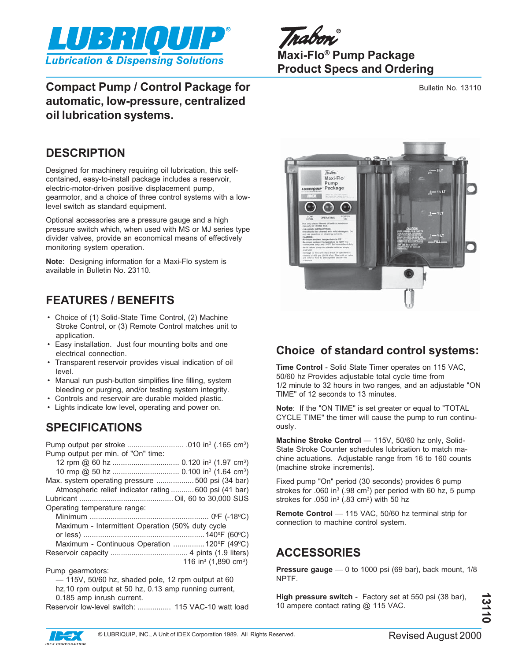

mahmu **Maxi-Flo® Pump Package Product Specs and Ordering**

Bulletin No. 13110

## **Compact Pump / Control Package for automatic, low-pressure, centralized oil lubrication systems.**

## **DESCRIPTION**

Designed for machinery requiring oil lubrication, this selfcontained, easy-to-install package includes a reservoir, electric-motor-driven positive displacement pump, gearmotor, and a choice of three control systems with a lowlevel switch as standard equipment.

Optional accessories are a pressure gauge and a high pressure switch which, when used with MS or MJ series type divider valves, provide an economical means of effectively monitoring system operation.

**Note**: Designing information for a Maxi-Flo system is available in Bulletin No. 23110.

# **FEATURES / BENEFITS**

- Choice of (1) Solid-State Time Control, (2) Machine Stroke Control, or (3) Remote Control matches unit to application.
- Easy installation. Just four mounting bolts and one electrical connection.
- Transparent reservoir provides visual indication of oil level.
- Manual run push-button simplifies line filling, system bleeding or purging, and/or testing system integrity.
- Controls and reservoir are durable molded plastic.
- Lights indicate low level, operating and power on.

# **SPECIFICATIONS**

| Pump output per min. of "On" time:                    |  |  |
|-------------------------------------------------------|--|--|
|                                                       |  |  |
|                                                       |  |  |
| Max. system operating pressure  500 psi (34 bar)      |  |  |
| Atmospheric relief indicator rating  600 psi (41 bar) |  |  |
|                                                       |  |  |
| Operating temperature range:                          |  |  |
|                                                       |  |  |
| Maximum - Intermittent Operation (50% duty cycle      |  |  |
|                                                       |  |  |
| Maximum - Continuous Operation  120°F (49°C)          |  |  |
|                                                       |  |  |
| 116 in <sup>3</sup> (1,890 cm <sup>3</sup> )          |  |  |
| Pump gearmotors:                                      |  |  |
| - 115V, 50/60 hz, shaded pole, 12 rpm output at 60    |  |  |
| hz, 10 rpm output at 50 hz, 0.13 amp running current, |  |  |
| 0.185 amp inrush current.                             |  |  |
| Reservoir low-level switch:  115 VAC-10 watt load     |  |  |



## **Choice of standard control systems:**

**Time Control** - Solid State Timer operates on 115 VAC, 50/60 hz Provides adjustable total cycle time from 1/2 minute to 32 hours in two ranges, and an adjustable "ON TIME" of 12 seconds to 13 minutes.

**Note**: If the "ON TIME" is set greater or equal to "TOTAL CYCLE TIME" the timer will cause the pump to run continuously.

**Machine Stroke Control** — 115V, 50/60 hz only, Solid-State Stroke Counter schedules lubrication to match machine actuations. Adjustable range from 16 to 160 counts (machine stroke increments).

Fixed pump "On" period (30 seconds) provides 6 pump strokes for  $.060$  in<sup>3</sup> (.98 cm<sup>3</sup>) per period with 60 hz, 5 pump strokes for .050 in<sup>3</sup> (.83 cm<sup>3</sup>) with 50 hz

**Remote Control** — 115 VAC, 50/60 hz terminal strip for connection to machine control system.

# **ACCESSORIES**

**Pressure gauge** — 0 to 1000 psi (69 bar), back mount, 1/8 NPTF.

**High pressure switch** - Factory set at 550 psi (38 bar), 10 ampere contact rating @ 115 VAC.

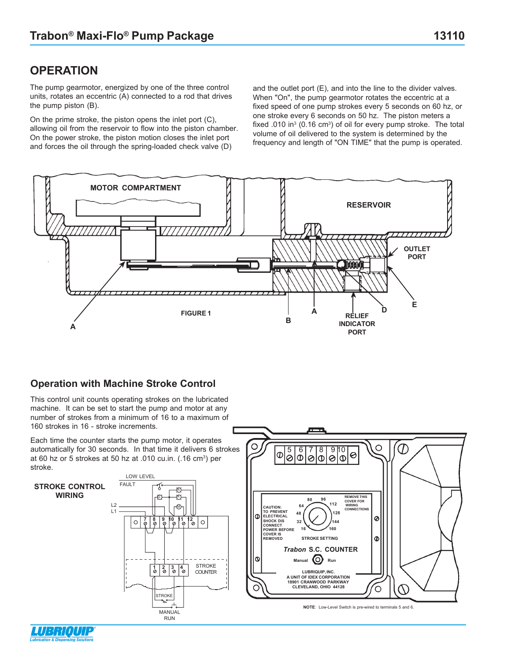The pump gearmotor, energized by one of the three control units, rotates an eccentric (A) connected to a rod that drives the pump piston (B).

On the prime stroke, the piston opens the inlet port (C), allowing oil from the reservoir to flow into the piston chamber. On the power stroke, the piston motion closes the inlet port and forces the oil through the spring-loaded check valve (D)

and the outlet port (E), and into the line to the divider valves. When "On", the pump gearmotor rotates the eccentric at a fixed speed of one pump strokes every 5 seconds on 60 hz, or one stroke every 6 seconds on 50 hz. The piston meters a fixed .010 in<sup>3</sup> (0.16 cm<sup>3</sup>) of oil for every pump stroke. The total volume of oil delivered to the system is determined by the frequency and length of "ON TIME" that the pump is operated.



#### **Operation with Machine Stroke Control**

This control unit counts operating strokes on the lubricated machine. It can be set to start the pump and motor at any number of strokes from a minimum of 16 to a maximum of 160 strokes in 16 - stroke increments.

Each time the counter starts the pump motor, it operates automatically for 30 seconds. In that time it delivers 6 strokes at 60 hz or 5 strokes at 50 hz at .010 cu.in. (.16 cm<sup>3</sup>) per stroke.



O

 $\Phi$ 

5 6 7 8 9 10<br>0 0 0 0 0 0

 $\mathcal{D}% _{M_{1},M_{2}}^{\alpha,\beta}$ 

O

0

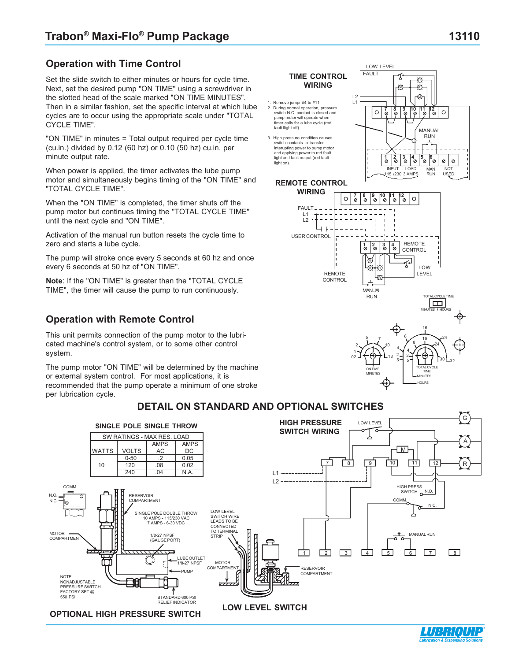### **Operation with Time Control**

Set the slide switch to either minutes or hours for cycle time. Next, set the desired pump "ON TIME" using a screwdriver in the slotted head of the scale marked "ON TIME MINUTES". Then in a similar fashion, set the specific interval at which lube cycles are to occur using the appropriate scale under "TOTAL CYCLE TIME".

"ON TIME" in minutes = Total output required per cycle time (cu.in.) divided by 0.12 (60 hz) or 0.10 (50 hz) cu.in. per minute output rate.

When power is applied, the timer activates the lube pump motor and simultaneously begins timing of the "ON TIME" and "TOTAL CYCLE TIME".

When the "ON TIME" is completed, the timer shuts off the pump motor but continues timing the "TOTAL CYCLE TIME" until the next cycle and "ON TIME".

Activation of the manual run button resets the cycle time to zero and starts a lube cycle.

The pump will stroke once every 5 seconds at 60 hz and once every 6 seconds at 50 hz of "ON TIME".

**Note**: If the "ON TIME" is greater than the "TOTAL CYCLE TIME", the timer will cause the pump to run continuously.

### **Operation with Remote Control**

This unit permits connection of the pump motor to the lubricated machine's control system, or to some other control system.

The pump motor "ON TIME" will be determined by the machine or external system control. For most applications, it is recommended that the pump operate a minimum of one stroke per lubrication cycle.



FAULT **TIME CONTROL WIRING**

- 1. Remove jumpr #4 to #11 2. During normal operation, pressure switch N.C. contact is closed and pump motor will operate when timer calls for a lube cycle (red fault llight off).
- 3. High pressure condition causes switch contacts to transfer interupting power to pump motor and applying power to red fault light and fault output (red fault light on).